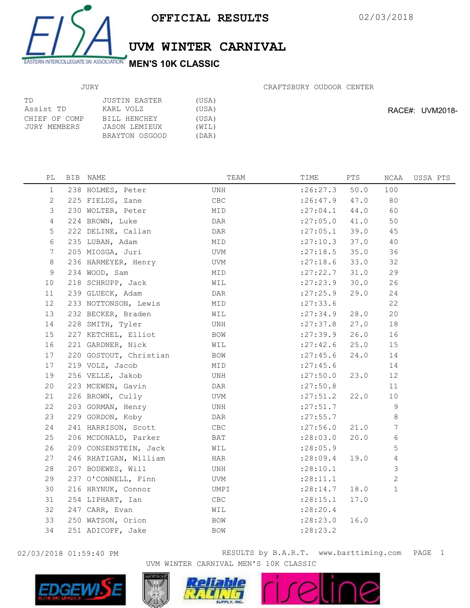

## UVM WINTER CARNIVAL

## JURY

| ТD            | JUSTIN EASTER  | (USA) |
|---------------|----------------|-------|
| Assist TD     | KARL VOLZ      | (USA) |
| CHIEF OF COMP | BILL HENCHEY   | (USA) |
| JURY MEMBERS  | JASON LEMIEUX  | (WIL) |
|               | BRAYTON OSGOOD | (DAR) |

CRAFTSBURY OUDOOR CENTER

RACE#: UVM2018-

| РL           | BIB NAME               | TEAM | TIME                | PTS  | NCAA           | USSA PTS |
|--------------|------------------------|------|---------------------|------|----------------|----------|
| $\mathbf{1}$ | 238 HOLMES, Peter      | UNH  | :26:27.3            | 50.0 | 100            |          |
| 2            | 225 FIELDS, Zane       | CBC  | $: 26: 47.9$ $47.0$ |      | 80             |          |
| 3            | 230 WOLTER, Peter      | MID  | $: 27:04.1$ 44.0    |      | 60             |          |
| 4            | 224 BROWN, Luke        | DAR  | $:27:05.0$ 41.0     |      | 50             |          |
| 5            | 222 DELINE, Callan     | DAR  | $: 27:05.1$ 39.0    |      | 45             |          |
| 6            | 235 LUBAN, Adam        | MID  | $:27:10.3$ 37.0     |      | 40             |          |
| 7            | 205 MIOSGA, Juri       | UVM  | : 27:18.5           | 35.0 | 36             |          |
| 8            | 236 HARMEYER, Henry    | UVM  | : 27:18.6           | 33.0 | 32             |          |
| 9            | 234 WOOD, Sam          | MID  | : 27: 22.7          | 31.0 | 29             |          |
| 10           | 218 SCHRUPP, Jack      | WIL  | : 27: 23.9          | 30.0 | 26             |          |
| 11           | 239 GLUECK, Adam       | DAR  | : 27: 25.9          | 29.0 | 24             |          |
| 12           | 233 NOTTONSON, Lewis   | MID  | : 27: 33.6          |      | 22             |          |
| 13           | 232 BECKER, Braden     | WIL  | : 27:34.9           | 28.0 | 20             |          |
| 14           | 228 SMITH, Tyler       | UNH  | : 27:37.8           | 27.0 | 18             |          |
| 15           | 227 KETCHEL, Elliot    | BOW  | : 27:39.9           | 26.0 | 16             |          |
| 16           | 221 GARDNER, Nick      | WIL  | $: 27:42.6$ 25.0    |      | 15             |          |
| 17           | 220 GOSTOUT, Christian | BOW  | : 27: 45.6          | 24.0 | 14             |          |
| 17           | 219 VOLZ, Jacob        | MID  | : 27: 45.6          |      | 14             |          |
| 19           | 256 VELLE, Jakob       | UNH  | : 27:50.0 23.0      |      | 12             |          |
| 20           | 223 MCEWEN, Gavin      | DAR  | : 27:50.8           |      | 11             |          |
| 21           | 226 BROWN, Cully       | UVM  | $:27:51.2$ 22.0     |      | 10             |          |
| 22           | 203 GORMAN, Henry      | UNH  | : 27: 51.7          |      | 9              |          |
| 23           | 229 GORDON, Koby       | DAR  | : 27: 55.7          |      | 8              |          |
| 24           | 241 HARRISON, Scott    | CBC  | : 27:56.0           | 21.0 | $\overline{7}$ |          |
| 25           | 206 MCDONALD, Parker   | BAT  | :28:03.0            | 20.0 | 6              |          |
| 26           | 209 CONSENSTEIN, Jack  | WIL  | : 28:05.9           |      | 5              |          |
| 27           | 246 RHATIGAN, William  | HAR  | : 28:09.4           | 19.0 | 4              |          |
| 28           | 207 BODEWES, Will      | UNH  | : 28:10.1           |      | 3              |          |
| 29           | 237 O'CONNELL, Finn    | UVM  | : 28:11.1           |      | $\overline{c}$ |          |
| 30           | 216 HRYNUK, Connor     | UMPI | : 28:14.7           | 18.0 | $\mathbf{1}$   |          |
| 31           | 254 LIPHART, Ian       | CBC  | : 28:15.1           | 17.0 |                |          |
| 32           | 247 CARR, Evan         | WIL  | : 28: 20.4          |      |                |          |
| 33           | 250 WATSON, Orion      | BOW  | : 28:23.0           | 16.0 |                |          |
| 34           | 251 ADICOFF, Jake      | BOW  | : 28: 23.2          |      |                |          |



02/03/2018 01:59:40 PM **RESULTS** by B.A.R.T. www.barttiming.com PAGE 1 UVM WINTER CARNIVAL MEN'S 10K CLASSIC